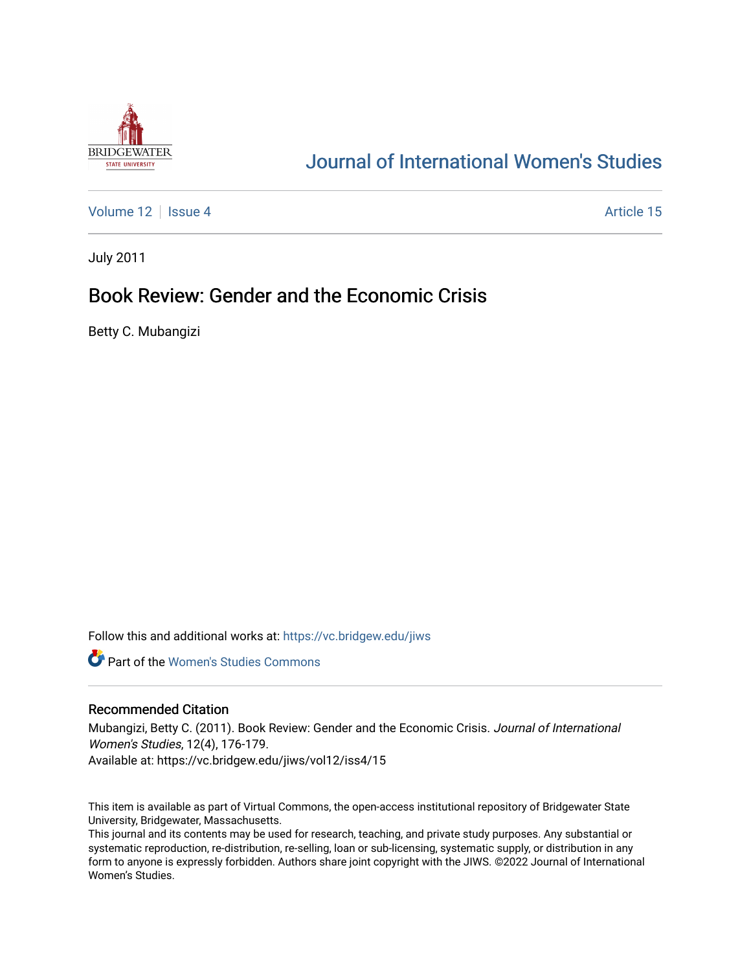

# [Journal of International Women's Studies](https://vc.bridgew.edu/jiws)

[Volume 12](https://vc.bridgew.edu/jiws/vol12) Setup 4 Article 15

July 2011

## Book Review: Gender and the Economic Crisis

Betty C. Mubangizi

Follow this and additional works at: [https://vc.bridgew.edu/jiws](https://vc.bridgew.edu/jiws?utm_source=vc.bridgew.edu%2Fjiws%2Fvol12%2Fiss4%2F15&utm_medium=PDF&utm_campaign=PDFCoverPages)

**C** Part of the Women's Studies Commons

#### Recommended Citation

Mubangizi, Betty C. (2011). Book Review: Gender and the Economic Crisis. Journal of International Women's Studies, 12(4), 176-179. Available at: https://vc.bridgew.edu/jiws/vol12/iss4/15

This item is available as part of Virtual Commons, the open-access institutional repository of Bridgewater State University, Bridgewater, Massachusetts.

This journal and its contents may be used for research, teaching, and private study purposes. Any substantial or systematic reproduction, re-distribution, re-selling, loan or sub-licensing, systematic supply, or distribution in any form to anyone is expressly forbidden. Authors share joint copyright with the JIWS. ©2022 Journal of International Women's Studies.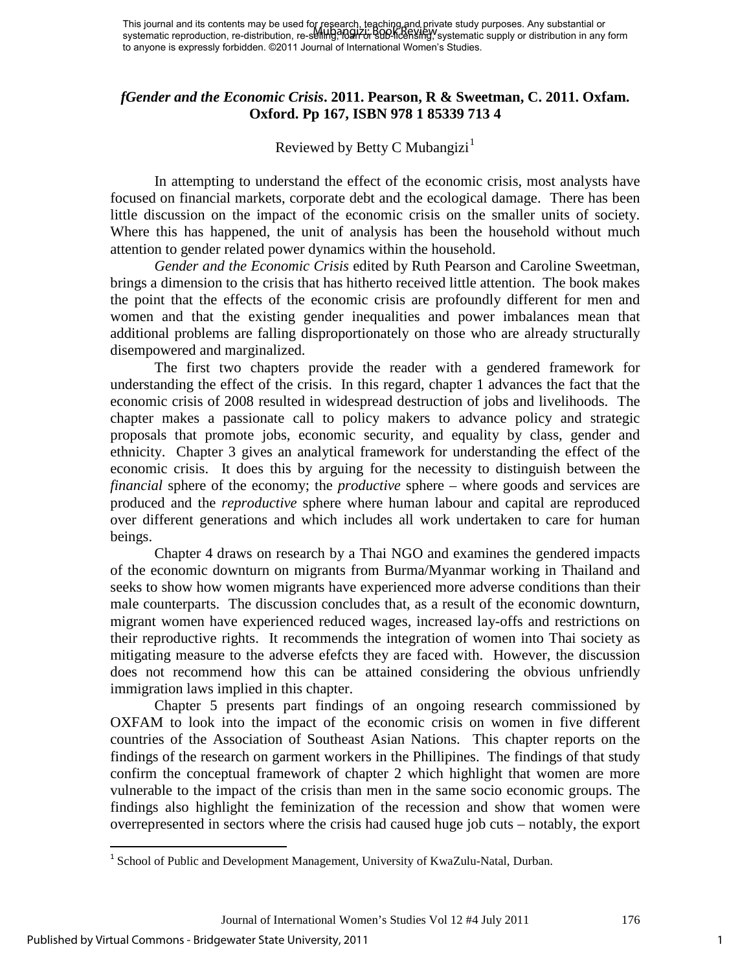## *fGender and the Economic Crisis***. 2011. Pearson, R & Sweetman, C. 2011. Oxfam. Oxford. Pp 167, ISBN 978 1 85339 713 4**

## Reviewed by Betty C Mubangizi $<sup>1</sup>$  $<sup>1</sup>$  $<sup>1</sup>$ </sup>

In attempting to understand the effect of the economic crisis, most analysts have focused on financial markets, corporate debt and the ecological damage. There has been little discussion on the impact of the economic crisis on the smaller units of society. Where this has happened, the unit of analysis has been the household without much attention to gender related power dynamics within the household.

*Gender and the Economic Crisis* edited by Ruth Pearson and Caroline Sweetman, brings a dimension to the crisis that has hitherto received little attention. The book makes the point that the effects of the economic crisis are profoundly different for men and women and that the existing gender inequalities and power imbalances mean that additional problems are falling disproportionately on those who are already structurally disempowered and marginalized.

The first two chapters provide the reader with a gendered framework for understanding the effect of the crisis. In this regard, chapter 1 advances the fact that the economic crisis of 2008 resulted in widespread destruction of jobs and livelihoods. The chapter makes a passionate call to policy makers to advance policy and strategic proposals that promote jobs, economic security, and equality by class, gender and ethnicity. Chapter 3 gives an analytical framework for understanding the effect of the economic crisis. It does this by arguing for the necessity to distinguish between the *financial* sphere of the economy; the *productive* sphere – where goods and services are produced and the *reproductive* sphere where human labour and capital are reproduced over different generations and which includes all work undertaken to care for human beings.

Chapter 4 draws on research by a Thai NGO and examines the gendered impacts of the economic downturn on migrants from Burma/Myanmar working in Thailand and seeks to show how women migrants have experienced more adverse conditions than their male counterparts. The discussion concludes that, as a result of the economic downturn, migrant women have experienced reduced wages, increased lay-offs and restrictions on their reproductive rights. It recommends the integration of women into Thai society as mitigating measure to the adverse efefcts they are faced with. However, the discussion does not recommend how this can be attained considering the obvious unfriendly immigration laws implied in this chapter.

Chapter 5 presents part findings of an ongoing research commissioned by OXFAM to look into the impact of the economic crisis on women in five different countries of the Association of Southeast Asian Nations. This chapter reports on the findings of the research on garment workers in the Phillipines. The findings of that study confirm the conceptual framework of chapter 2 which highlight that women are more vulnerable to the impact of the crisis than men in the same socio economic groups. The findings also highlight the feminization of the recession and show that women were overrepresented in sectors where the crisis had caused huge job cuts – notably, the export

l

<span id="page-1-0"></span><sup>&</sup>lt;sup>1</sup> School of Public and Development Management, University of KwaZulu-Natal, Durban.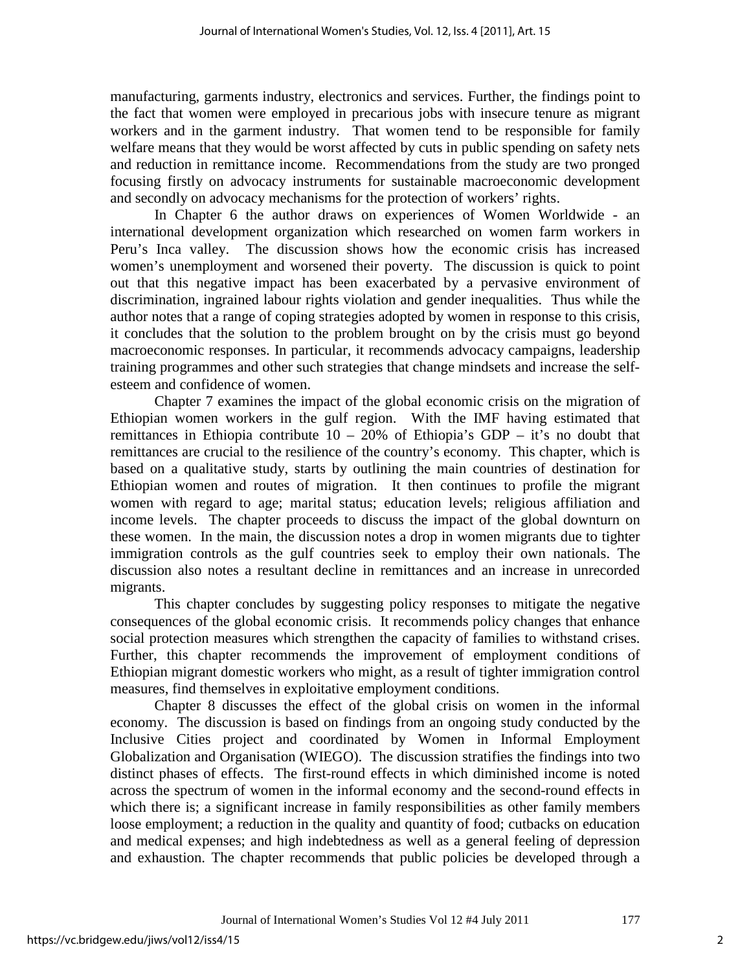manufacturing, garments industry, electronics and services. Further, the findings point to the fact that women were employed in precarious jobs with insecure tenure as migrant workers and in the garment industry. That women tend to be responsible for family welfare means that they would be worst affected by cuts in public spending on safety nets and reduction in remittance income. Recommendations from the study are two pronged focusing firstly on advocacy instruments for sustainable macroeconomic development and secondly on advocacy mechanisms for the protection of workers' rights.

In Chapter 6 the author draws on experiences of Women Worldwide - an international development organization which researched on women farm workers in Peru's Inca valley. The discussion shows how the economic crisis has increased women's unemployment and worsened their poverty. The discussion is quick to point out that this negative impact has been exacerbated by a pervasive environment of discrimination, ingrained labour rights violation and gender inequalities. Thus while the author notes that a range of coping strategies adopted by women in response to this crisis, it concludes that the solution to the problem brought on by the crisis must go beyond macroeconomic responses. In particular, it recommends advocacy campaigns, leadership training programmes and other such strategies that change mindsets and increase the selfesteem and confidence of women.

Chapter 7 examines the impact of the global economic crisis on the migration of Ethiopian women workers in the gulf region. With the IMF having estimated that remittances in Ethiopia contribute  $10 - 20\%$  of Ethiopia's GDP – it's no doubt that remittances are crucial to the resilience of the country's economy. This chapter, which is based on a qualitative study, starts by outlining the main countries of destination for Ethiopian women and routes of migration. It then continues to profile the migrant women with regard to age; marital status; education levels; religious affiliation and income levels. The chapter proceeds to discuss the impact of the global downturn on these women. In the main, the discussion notes a drop in women migrants due to tighter immigration controls as the gulf countries seek to employ their own nationals. The discussion also notes a resultant decline in remittances and an increase in unrecorded migrants.

This chapter concludes by suggesting policy responses to mitigate the negative consequences of the global economic crisis. It recommends policy changes that enhance social protection measures which strengthen the capacity of families to withstand crises. Further, this chapter recommends the improvement of employment conditions of Ethiopian migrant domestic workers who might, as a result of tighter immigration control measures, find themselves in exploitative employment conditions.

Chapter 8 discusses the effect of the global crisis on women in the informal economy. The discussion is based on findings from an ongoing study conducted by the Inclusive Cities project and coordinated by Women in Informal Employment Globalization and Organisation (WIEGO). The discussion stratifies the findings into two distinct phases of effects. The first-round effects in which diminished income is noted across the spectrum of women in the informal economy and the second-round effects in which there is; a significant increase in family responsibilities as other family members loose employment; a reduction in the quality and quantity of food; cutbacks on education and medical expenses; and high indebtedness as well as a general feeling of depression and exhaustion. The chapter recommends that public policies be developed through a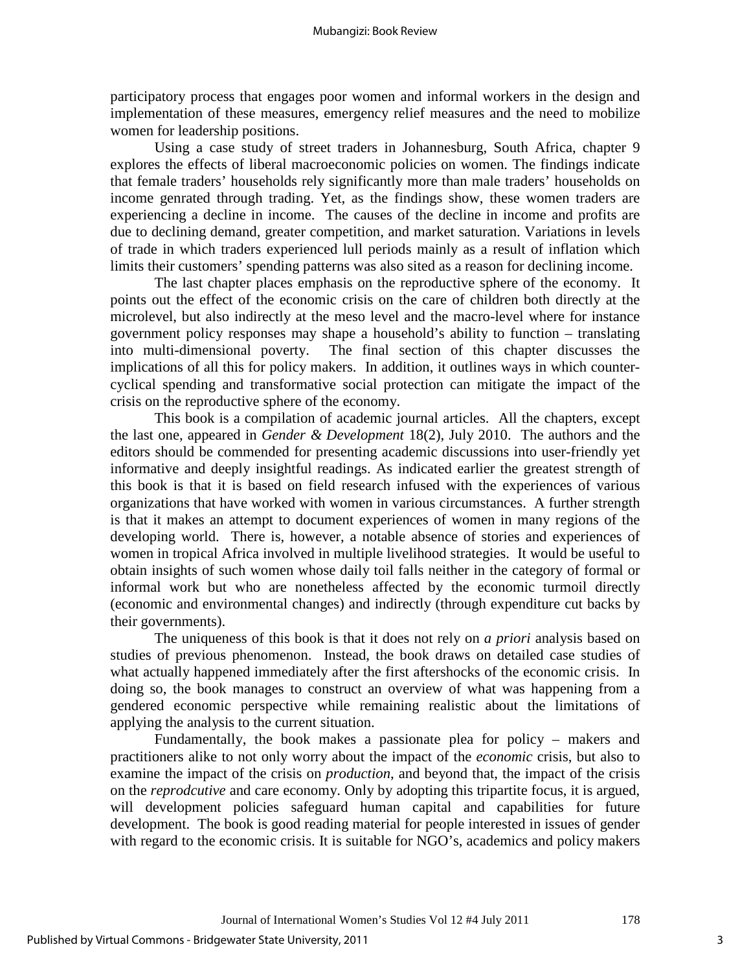participatory process that engages poor women and informal workers in the design and implementation of these measures, emergency relief measures and the need to mobilize women for leadership positions.

Using a case study of street traders in Johannesburg, South Africa, chapter 9 explores the effects of liberal macroeconomic policies on women. The findings indicate that female traders' households rely significantly more than male traders' households on income genrated through trading. Yet, as the findings show, these women traders are experiencing a decline in income. The causes of the decline in income and profits are due to declining demand, greater competition, and market saturation. Variations in levels of trade in which traders experienced lull periods mainly as a result of inflation which limits their customers' spending patterns was also sited as a reason for declining income.

The last chapter places emphasis on the reproductive sphere of the economy. It points out the effect of the economic crisis on the care of children both directly at the microlevel, but also indirectly at the meso level and the macro-level where for instance government policy responses may shape a household's ability to function – translating into multi-dimensional poverty. The final section of this chapter discusses the implications of all this for policy makers. In addition, it outlines ways in which countercyclical spending and transformative social protection can mitigate the impact of the crisis on the reproductive sphere of the economy.

This book is a compilation of academic journal articles. All the chapters, except the last one, appeared in *Gender & Development* 18(2), July 2010. The authors and the editors should be commended for presenting academic discussions into user-friendly yet informative and deeply insightful readings. As indicated earlier the greatest strength of this book is that it is based on field research infused with the experiences of various organizations that have worked with women in various circumstances. A further strength is that it makes an attempt to document experiences of women in many regions of the developing world. There is, however, a notable absence of stories and experiences of women in tropical Africa involved in multiple livelihood strategies. It would be useful to obtain insights of such women whose daily toil falls neither in the category of formal or informal work but who are nonetheless affected by the economic turmoil directly (economic and environmental changes) and indirectly (through expenditure cut backs by their governments).

The uniqueness of this book is that it does not rely on *a priori* analysis based on studies of previous phenomenon. Instead, the book draws on detailed case studies of what actually happened immediately after the first aftershocks of the economic crisis. In doing so, the book manages to construct an overview of what was happening from a gendered economic perspective while remaining realistic about the limitations of applying the analysis to the current situation.

Fundamentally, the book makes a passionate plea for policy – makers and practitioners alike to not only worry about the impact of the *economic* crisis, but also to examine the impact of the crisis on *production*, and beyond that, the impact of the crisis on the *reprodcutive* and care economy. Only by adopting this tripartite focus, it is argued, will development policies safeguard human capital and capabilities for future development. The book is good reading material for people interested in issues of gender with regard to the economic crisis. It is suitable for NGO's, academics and policy makers